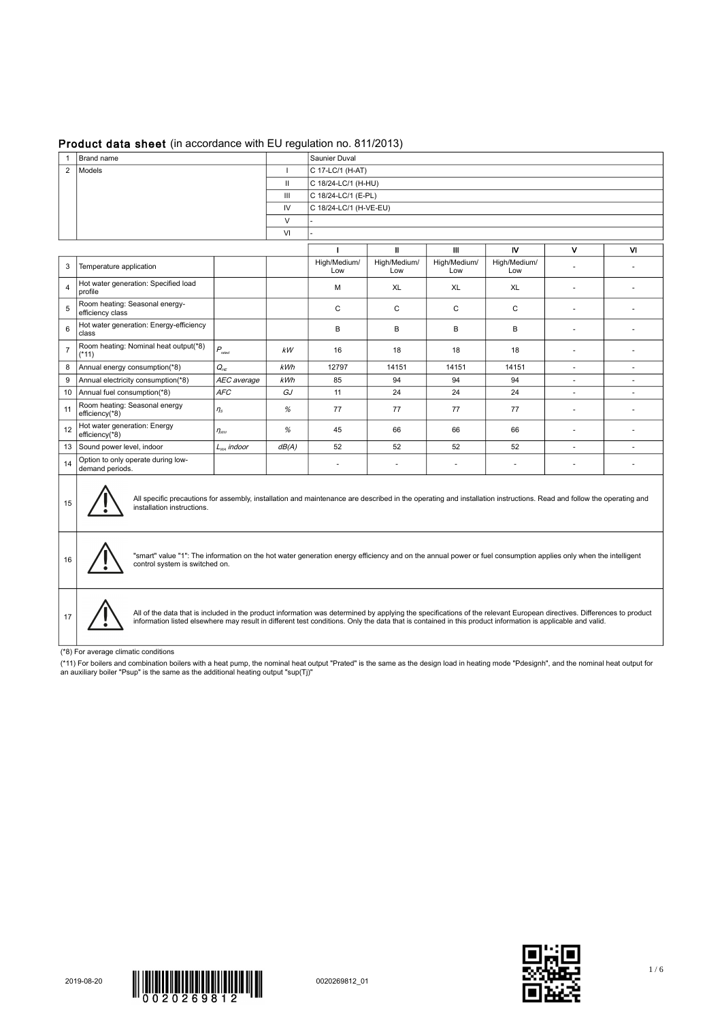## Product data sheet (in accordance with EU regulation no. 811/2013)

|                | Saunier Duval<br>Brand name                                                                                                                                                                                                                                                                                                         |                          |        |                     |                        |                     |                     |                |                          |  |  |
|----------------|-------------------------------------------------------------------------------------------------------------------------------------------------------------------------------------------------------------------------------------------------------------------------------------------------------------------------------------|--------------------------|--------|---------------------|------------------------|---------------------|---------------------|----------------|--------------------------|--|--|
| $\overline{2}$ | Models<br>C 17-LC/1 (H-AT)<br><sup>1</sup>                                                                                                                                                                                                                                                                                          |                          |        |                     |                        |                     |                     |                |                          |  |  |
|                | $\mathbf{H}$<br>C 18/24-LC/1 (H-HU)                                                                                                                                                                                                                                                                                                 |                          |        |                     |                        |                     |                     |                |                          |  |  |
|                |                                                                                                                                                                                                                                                                                                                                     | Ш<br>C 18/24-LC/1 (E-PL) |        |                     |                        |                     |                     |                |                          |  |  |
|                |                                                                                                                                                                                                                                                                                                                                     |                          | IV     |                     | C 18/24-LC/1 (H-VE-EU) |                     |                     |                |                          |  |  |
|                |                                                                                                                                                                                                                                                                                                                                     |                          | $\vee$ |                     |                        |                     |                     |                |                          |  |  |
|                |                                                                                                                                                                                                                                                                                                                                     |                          | VI     |                     |                        |                     |                     |                |                          |  |  |
|                |                                                                                                                                                                                                                                                                                                                                     |                          |        | п                   | $\mathbf{I}$           | Ш                   | N                   | v              | <b>VI</b>                |  |  |
| 3              | Temperature application                                                                                                                                                                                                                                                                                                             |                          |        | High/Medium/<br>Low | High/Medium/<br>Low    | High/Medium/<br>Low | High/Medium/<br>Low |                | ÷,                       |  |  |
| $\overline{4}$ | Hot water generation: Specified load<br>profile                                                                                                                                                                                                                                                                                     |                          |        | M                   | XL                     | XL                  | XL                  |                | ÷,                       |  |  |
| 5              | Room heating: Seasonal energy-<br>efficiency class                                                                                                                                                                                                                                                                                  |                          |        | $\mathsf C$         | $\mathsf C$            | C                   | C                   |                |                          |  |  |
| $\,6\,$        | Hot water generation: Energy-efficiency<br>class                                                                                                                                                                                                                                                                                    |                          |        | B                   | B                      | B                   | B                   | $\sim$         | $\sim$                   |  |  |
| $\overline{7}$ | Room heating: Nominal heat output(*8)<br>$(*11)$                                                                                                                                                                                                                                                                                    | $P_{\text{rated}}$       | kW     | 16                  | 18                     | 18                  | 18                  | $\sim$         | ÷                        |  |  |
| 8              | Annual energy consumption(*8)                                                                                                                                                                                                                                                                                                       | $Q_{HE}$                 | kWh    | 12797               | 14151                  | 14151               | 14151               | $\sim$         | $\sim$                   |  |  |
| 9              | Annual electricity consumption(*8)                                                                                                                                                                                                                                                                                                  | AEC average              | kWh    | 85                  | 94                     | 94                  | 94                  | $\overline{a}$ | $\overline{\phantom{a}}$ |  |  |
|                | 10   Annual fuel consumption(*8)                                                                                                                                                                                                                                                                                                    | <b>AFC</b>               | GJ     | 11                  | 24                     | 24                  | 24                  | ÷.             | ÷                        |  |  |
| 11             | Room heating: Seasonal energy<br>efficiency(*8)                                                                                                                                                                                                                                                                                     | $\eta_s$                 | %      | 77                  | 77                     | 77                  | 77                  | $\sim$         | $\sim$                   |  |  |
| 12             | Hot water generation: Energy<br>efficiency( $*8$ )                                                                                                                                                                                                                                                                                  | $\eta_{wH}$              | $\%$   | 45                  | 66                     | 66                  | 66                  |                |                          |  |  |
| 13             | Sound power level, indoor                                                                                                                                                                                                                                                                                                           | $L_{wa}$ indoor          | dB(A)  | 52                  | 52                     | 52                  | 52                  | $\overline{a}$ | $\sim$                   |  |  |
| 14             | Option to only operate during low-<br>demand periods.                                                                                                                                                                                                                                                                               |                          |        | $\sim$              | ä,                     | $\sim$              | ä,                  | $\sim$         | ٠                        |  |  |
| 15             | All specific precautions for assembly, installation and maintenance are described in the operating and installation instructions. Read and follow the operating and<br>installation instructions.                                                                                                                                   |                          |        |                     |                        |                     |                     |                |                          |  |  |
| 16             | "smart" value "1": The information on the hot water generation energy efficiency and on the annual power or fuel consumption applies only when the intelligent<br>control system is switched on.                                                                                                                                    |                          |        |                     |                        |                     |                     |                |                          |  |  |
| 17             | All of the data that is included in the product information was determined by applying the specifications of the relevant European directives. Differences to product<br>information listed elsewhere may result in different test conditions. Only the data that is contained in this product information is applicable and valid. |                          |        |                     |                        |                     |                     |                |                          |  |  |

(\*8) For average climatic conditions

(\*11) For boilers and combination boilers with a heat pump, the nominal heat output "Prated" is the same as the design load in heating mode "Pdesignh", and the nominal heat output for<br>an auxiliary boiler "Psup" is the sam



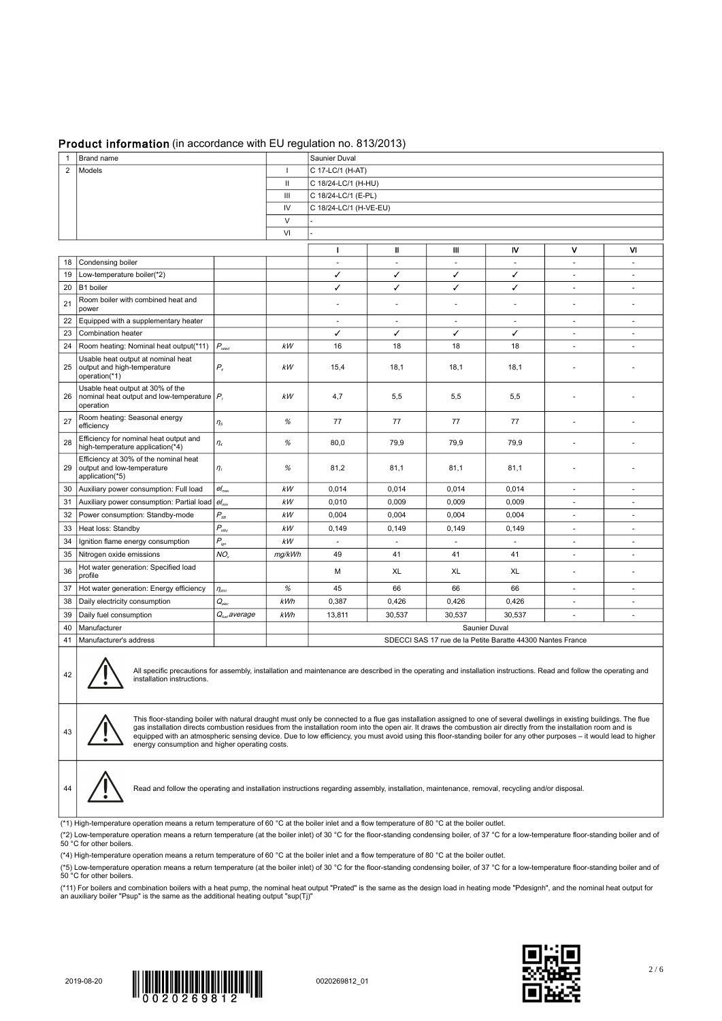## Product information (in accordance with EU regulation no. 813/2013)

| Brand name<br>Saunier Duval<br>$\mathbf{1}$<br>$\overline{c}$<br>Models<br>C 17-LC/1 (H-AT)<br>-1<br>Ш<br>C 18/24-LC/1 (H-HU)<br>C 18/24-LC/1 (E-PL)<br>Ш<br>IV<br>C 18/24-LC/1 (H-VE-EU)<br>$\vee$<br>VI<br>v<br>Ш<br>Ш<br>N<br>M<br>п<br>Condensing boiler<br>18<br>$\blacksquare$<br>$\overline{\phantom{a}}$<br>$\sim$<br>÷,<br>Low-temperature boiler(*2)<br>✓<br>✓<br>✓<br>✓<br>19<br>$\overline{\phantom{a}}$<br>÷.<br>20<br>B1 boiler<br>✓<br>✓<br>✓<br>✓<br>$\overline{\phantom{a}}$<br>$\overline{\phantom{a}}$<br>Room boiler with combined heat and<br>21<br>÷,<br>power<br>22<br>Equipped with a supplementary heater<br>$\overline{\phantom{a}}$<br>$\sim$<br>$\sim$<br>٠<br>$\sim$<br>$\overline{\phantom{a}}$<br>23<br>✓<br>✓<br>✓<br>Combination heater<br>✓<br>$\blacksquare$<br>÷,<br>24<br>$P_{\rm rated}$<br>Room heating: Nominal heat output(*11)<br>kW<br>16<br>18<br>18<br>18<br>$\overline{\phantom{a}}$<br>$\overline{\phantom{a}}$<br>Usable heat output at nominal heat<br>output and high-temperature<br>25<br>$P_{4}$<br>kW<br>18,1<br>18,1<br>18,1<br>15,4<br>operation(*1)<br>Usable heat output at 30% of the<br>nominal heat output and low-temperature $ P_i $<br>5,5<br>5,5<br>5,5<br>26<br>кW<br>4,7<br>operation<br>Room heating: Seasonal energy<br>27<br>$\%$<br>77<br>77<br>77<br>77<br>$\eta_s$<br>٠<br>٠<br>efficiency<br>Efficiency for nominal heat output and<br>$\%$<br>28<br>80,0<br>79,9<br>79,9<br>79,9<br>$\eta_{\scriptscriptstyle 4}$<br>ä,<br>high-temperature application(*4)<br>Efficiency at 30% of the nominal heat<br>output and low-temperature<br>$\%$<br>81,2<br>81,1<br>81,1<br>29<br>$\eta_{1}$<br>81,1<br>application(*5)<br>Auxiliary power consumption: Full load<br>$el_{max}$<br>kW<br>0,014<br>0,014<br>0,014<br>0,014<br>30<br>٠<br>٠<br>0,009<br>0,009<br>Auxiliary power consumption: Partial load $ e _{min}$<br>kW<br>0,010<br>0,009<br>31<br>٠<br>٠<br>$P_{\scriptscriptstyle SB}$<br>0,004<br>0,004<br>0,004<br>32<br>Power consumption: Standby-mode<br>kW<br>0,004<br>$\overline{\phantom{a}}$<br>÷,<br>$P_{\textit{stby}}$<br>33<br>kW<br>Heat loss: Standby<br>0,149<br>0,149<br>0,149<br>0,149<br>ä,<br>$\overline{\phantom{a}}$<br>$P_{\scriptscriptstyle \mathit{ign}}$<br>kW<br>34<br>Ignition flame energy consumption<br>ä,<br>×.<br>÷.<br>$\sim$<br>NO,<br>35<br>Nitrogen oxide emissions<br>mg/kWh<br>49<br>41<br>41<br>41<br>٠<br>$\sim$<br>Hot water generation: Specified load<br>36<br>М<br>XL<br>XL<br>XL<br>profile<br>$\%$<br>45<br>66<br>37<br>Hot water generation: Energy efficiency<br>$\eta_{\scriptscriptstyle W\!H}$<br>66<br>66<br>÷.<br>٠<br>$Q_{elec}$<br>kWh<br>38<br>Daily electricity consumption<br>0,387<br>0,426<br>0,426<br>0,426<br>$\overline{\phantom{a}}$<br>$\overline{\phantom{a}}$<br>$Q_{\text{fue}}$ average<br>30,537<br>30,537<br>39<br>Daily fuel consumption<br>kWh<br>30,537<br>13,811<br>$\overline{\phantom{a}}$<br>$\overline{\phantom{a}}$<br>Manufacturer<br>Saunier Duval<br>40<br>41<br>Manufacturer's address<br>SDECCI SAS 17 rue de la Petite Baratte 44300 Nantes France<br>All specific precautions for assembly, installation and maintenance are described in the operating and installation instructions. Read and follow the operating and<br>42<br>installation instructions.<br>This floor-standing boiler with natural draught must only be connected to a flue gas installation assigned to one of several dwellings in existing buildings. The flue<br>gas installation directs combustion residues from the installation room into the open air. It draws the combustion air directly from the installation room and is<br>43<br>equipped with an atmospheric sensing device. Due to low efficiency, you must avoid using this floor-standing boiler for any other purposes – it would lead to higher<br>energy consumption and higher operating costs.<br>Read and follow the operating and installation instructions regarding assembly, installation, maintenance, removal, recycling and/or disposal.<br>44<br>(*1) High-temperature operation means a return temperature of 60 °C at the boiler inlet and a flow temperature of 80 °C at the boiler outlet.<br>(*2) Low-temperature operation means a return temperature (at the boiler inlet) of 30 °C for the floor-standing condensing boiler, of 37 °C for a low-temperature floor-standing boiler and of<br>50 °C for other boilers.<br>(*4) High-temperature operation means a return temperature of 60 °C at the boiler inlet and a flow temperature of 80 °C at the boiler outlet. |  |  |  |  |  |  |  |  |  |
|-------------------------------------------------------------------------------------------------------------------------------------------------------------------------------------------------------------------------------------------------------------------------------------------------------------------------------------------------------------------------------------------------------------------------------------------------------------------------------------------------------------------------------------------------------------------------------------------------------------------------------------------------------------------------------------------------------------------------------------------------------------------------------------------------------------------------------------------------------------------------------------------------------------------------------------------------------------------------------------------------------------------------------------------------------------------------------------------------------------------------------------------------------------------------------------------------------------------------------------------------------------------------------------------------------------------------------------------------------------------------------------------------------------------------------------------------------------------------------------------------------------------------------------------------------------------------------------------------------------------------------------------------------------------------------------------------------------------------------------------------------------------------------------------------------------------------------------------------------------------------------------------------------------------------------------------------------------------------------------------------------------------------------------------------------------------------------------------------------------------------------------------------------------------------------------------------------------------------------------------------------------------------------------------------------------------------------------------------------------------------------------------------------------------------------------------------------------------------------------------------------------------------------------------------------------------------------------------------------------------------------------------------------------------------------------------------------------------------------------------------------------------------------------------------------------------------------------------------------------------------------------------------------------------------------------------------------------------------------------------------------------------------------------------------------------------------------------------------------------------------------------------------------------------------------------------------------------------------------------------------------------------------------------------------------------------------------------------------------------------------------------------------------------------------------------------------------------------------------------------------------------------------------------------------------------------------------------------------------------------------------------------------------------------------------------------------------------------------------------------------------------------------------------------------------------------------------------------------------------------------------------------------------------------------------------------------------------------------------------------------------------------------------------------------------------------------------------------------------------------------------------------------------------------------------------------------------------------------------------------------------------------------------------------------------------------------------------------------------------------------------------------------------------------------------------------------------------------------------------------------------------------------------------------------------------------------------------------------------|--|--|--|--|--|--|--|--|--|
|                                                                                                                                                                                                                                                                                                                                                                                                                                                                                                                                                                                                                                                                                                                                                                                                                                                                                                                                                                                                                                                                                                                                                                                                                                                                                                                                                                                                                                                                                                                                                                                                                                                                                                                                                                                                                                                                                                                                                                                                                                                                                                                                                                                                                                                                                                                                                                                                                                                                                                                                                                                                                                                                                                                                                                                                                                                                                                                                                                                                                                                                                                                                                                                                                                                                                                                                                                                                                                                                                                                                                                                                                                                                                                                                                                                                                                                                                                                                                                                                                                                                                                                                                                                                                                                                                                                                                                                                                                                                                                                                                                                                       |  |  |  |  |  |  |  |  |  |
|                                                                                                                                                                                                                                                                                                                                                                                                                                                                                                                                                                                                                                                                                                                                                                                                                                                                                                                                                                                                                                                                                                                                                                                                                                                                                                                                                                                                                                                                                                                                                                                                                                                                                                                                                                                                                                                                                                                                                                                                                                                                                                                                                                                                                                                                                                                                                                                                                                                                                                                                                                                                                                                                                                                                                                                                                                                                                                                                                                                                                                                                                                                                                                                                                                                                                                                                                                                                                                                                                                                                                                                                                                                                                                                                                                                                                                                                                                                                                                                                                                                                                                                                                                                                                                                                                                                                                                                                                                                                                                                                                                                                       |  |  |  |  |  |  |  |  |  |
|                                                                                                                                                                                                                                                                                                                                                                                                                                                                                                                                                                                                                                                                                                                                                                                                                                                                                                                                                                                                                                                                                                                                                                                                                                                                                                                                                                                                                                                                                                                                                                                                                                                                                                                                                                                                                                                                                                                                                                                                                                                                                                                                                                                                                                                                                                                                                                                                                                                                                                                                                                                                                                                                                                                                                                                                                                                                                                                                                                                                                                                                                                                                                                                                                                                                                                                                                                                                                                                                                                                                                                                                                                                                                                                                                                                                                                                                                                                                                                                                                                                                                                                                                                                                                                                                                                                                                                                                                                                                                                                                                                                                       |  |  |  |  |  |  |  |  |  |
|                                                                                                                                                                                                                                                                                                                                                                                                                                                                                                                                                                                                                                                                                                                                                                                                                                                                                                                                                                                                                                                                                                                                                                                                                                                                                                                                                                                                                                                                                                                                                                                                                                                                                                                                                                                                                                                                                                                                                                                                                                                                                                                                                                                                                                                                                                                                                                                                                                                                                                                                                                                                                                                                                                                                                                                                                                                                                                                                                                                                                                                                                                                                                                                                                                                                                                                                                                                                                                                                                                                                                                                                                                                                                                                                                                                                                                                                                                                                                                                                                                                                                                                                                                                                                                                                                                                                                                                                                                                                                                                                                                                                       |  |  |  |  |  |  |  |  |  |
|                                                                                                                                                                                                                                                                                                                                                                                                                                                                                                                                                                                                                                                                                                                                                                                                                                                                                                                                                                                                                                                                                                                                                                                                                                                                                                                                                                                                                                                                                                                                                                                                                                                                                                                                                                                                                                                                                                                                                                                                                                                                                                                                                                                                                                                                                                                                                                                                                                                                                                                                                                                                                                                                                                                                                                                                                                                                                                                                                                                                                                                                                                                                                                                                                                                                                                                                                                                                                                                                                                                                                                                                                                                                                                                                                                                                                                                                                                                                                                                                                                                                                                                                                                                                                                                                                                                                                                                                                                                                                                                                                                                                       |  |  |  |  |  |  |  |  |  |
|                                                                                                                                                                                                                                                                                                                                                                                                                                                                                                                                                                                                                                                                                                                                                                                                                                                                                                                                                                                                                                                                                                                                                                                                                                                                                                                                                                                                                                                                                                                                                                                                                                                                                                                                                                                                                                                                                                                                                                                                                                                                                                                                                                                                                                                                                                                                                                                                                                                                                                                                                                                                                                                                                                                                                                                                                                                                                                                                                                                                                                                                                                                                                                                                                                                                                                                                                                                                                                                                                                                                                                                                                                                                                                                                                                                                                                                                                                                                                                                                                                                                                                                                                                                                                                                                                                                                                                                                                                                                                                                                                                                                       |  |  |  |  |  |  |  |  |  |
|                                                                                                                                                                                                                                                                                                                                                                                                                                                                                                                                                                                                                                                                                                                                                                                                                                                                                                                                                                                                                                                                                                                                                                                                                                                                                                                                                                                                                                                                                                                                                                                                                                                                                                                                                                                                                                                                                                                                                                                                                                                                                                                                                                                                                                                                                                                                                                                                                                                                                                                                                                                                                                                                                                                                                                                                                                                                                                                                                                                                                                                                                                                                                                                                                                                                                                                                                                                                                                                                                                                                                                                                                                                                                                                                                                                                                                                                                                                                                                                                                                                                                                                                                                                                                                                                                                                                                                                                                                                                                                                                                                                                       |  |  |  |  |  |  |  |  |  |
|                                                                                                                                                                                                                                                                                                                                                                                                                                                                                                                                                                                                                                                                                                                                                                                                                                                                                                                                                                                                                                                                                                                                                                                                                                                                                                                                                                                                                                                                                                                                                                                                                                                                                                                                                                                                                                                                                                                                                                                                                                                                                                                                                                                                                                                                                                                                                                                                                                                                                                                                                                                                                                                                                                                                                                                                                                                                                                                                                                                                                                                                                                                                                                                                                                                                                                                                                                                                                                                                                                                                                                                                                                                                                                                                                                                                                                                                                                                                                                                                                                                                                                                                                                                                                                                                                                                                                                                                                                                                                                                                                                                                       |  |  |  |  |  |  |  |  |  |
|                                                                                                                                                                                                                                                                                                                                                                                                                                                                                                                                                                                                                                                                                                                                                                                                                                                                                                                                                                                                                                                                                                                                                                                                                                                                                                                                                                                                                                                                                                                                                                                                                                                                                                                                                                                                                                                                                                                                                                                                                                                                                                                                                                                                                                                                                                                                                                                                                                                                                                                                                                                                                                                                                                                                                                                                                                                                                                                                                                                                                                                                                                                                                                                                                                                                                                                                                                                                                                                                                                                                                                                                                                                                                                                                                                                                                                                                                                                                                                                                                                                                                                                                                                                                                                                                                                                                                                                                                                                                                                                                                                                                       |  |  |  |  |  |  |  |  |  |
|                                                                                                                                                                                                                                                                                                                                                                                                                                                                                                                                                                                                                                                                                                                                                                                                                                                                                                                                                                                                                                                                                                                                                                                                                                                                                                                                                                                                                                                                                                                                                                                                                                                                                                                                                                                                                                                                                                                                                                                                                                                                                                                                                                                                                                                                                                                                                                                                                                                                                                                                                                                                                                                                                                                                                                                                                                                                                                                                                                                                                                                                                                                                                                                                                                                                                                                                                                                                                                                                                                                                                                                                                                                                                                                                                                                                                                                                                                                                                                                                                                                                                                                                                                                                                                                                                                                                                                                                                                                                                                                                                                                                       |  |  |  |  |  |  |  |  |  |
|                                                                                                                                                                                                                                                                                                                                                                                                                                                                                                                                                                                                                                                                                                                                                                                                                                                                                                                                                                                                                                                                                                                                                                                                                                                                                                                                                                                                                                                                                                                                                                                                                                                                                                                                                                                                                                                                                                                                                                                                                                                                                                                                                                                                                                                                                                                                                                                                                                                                                                                                                                                                                                                                                                                                                                                                                                                                                                                                                                                                                                                                                                                                                                                                                                                                                                                                                                                                                                                                                                                                                                                                                                                                                                                                                                                                                                                                                                                                                                                                                                                                                                                                                                                                                                                                                                                                                                                                                                                                                                                                                                                                       |  |  |  |  |  |  |  |  |  |
|                                                                                                                                                                                                                                                                                                                                                                                                                                                                                                                                                                                                                                                                                                                                                                                                                                                                                                                                                                                                                                                                                                                                                                                                                                                                                                                                                                                                                                                                                                                                                                                                                                                                                                                                                                                                                                                                                                                                                                                                                                                                                                                                                                                                                                                                                                                                                                                                                                                                                                                                                                                                                                                                                                                                                                                                                                                                                                                                                                                                                                                                                                                                                                                                                                                                                                                                                                                                                                                                                                                                                                                                                                                                                                                                                                                                                                                                                                                                                                                                                                                                                                                                                                                                                                                                                                                                                                                                                                                                                                                                                                                                       |  |  |  |  |  |  |  |  |  |
|                                                                                                                                                                                                                                                                                                                                                                                                                                                                                                                                                                                                                                                                                                                                                                                                                                                                                                                                                                                                                                                                                                                                                                                                                                                                                                                                                                                                                                                                                                                                                                                                                                                                                                                                                                                                                                                                                                                                                                                                                                                                                                                                                                                                                                                                                                                                                                                                                                                                                                                                                                                                                                                                                                                                                                                                                                                                                                                                                                                                                                                                                                                                                                                                                                                                                                                                                                                                                                                                                                                                                                                                                                                                                                                                                                                                                                                                                                                                                                                                                                                                                                                                                                                                                                                                                                                                                                                                                                                                                                                                                                                                       |  |  |  |  |  |  |  |  |  |
|                                                                                                                                                                                                                                                                                                                                                                                                                                                                                                                                                                                                                                                                                                                                                                                                                                                                                                                                                                                                                                                                                                                                                                                                                                                                                                                                                                                                                                                                                                                                                                                                                                                                                                                                                                                                                                                                                                                                                                                                                                                                                                                                                                                                                                                                                                                                                                                                                                                                                                                                                                                                                                                                                                                                                                                                                                                                                                                                                                                                                                                                                                                                                                                                                                                                                                                                                                                                                                                                                                                                                                                                                                                                                                                                                                                                                                                                                                                                                                                                                                                                                                                                                                                                                                                                                                                                                                                                                                                                                                                                                                                                       |  |  |  |  |  |  |  |  |  |
|                                                                                                                                                                                                                                                                                                                                                                                                                                                                                                                                                                                                                                                                                                                                                                                                                                                                                                                                                                                                                                                                                                                                                                                                                                                                                                                                                                                                                                                                                                                                                                                                                                                                                                                                                                                                                                                                                                                                                                                                                                                                                                                                                                                                                                                                                                                                                                                                                                                                                                                                                                                                                                                                                                                                                                                                                                                                                                                                                                                                                                                                                                                                                                                                                                                                                                                                                                                                                                                                                                                                                                                                                                                                                                                                                                                                                                                                                                                                                                                                                                                                                                                                                                                                                                                                                                                                                                                                                                                                                                                                                                                                       |  |  |  |  |  |  |  |  |  |
|                                                                                                                                                                                                                                                                                                                                                                                                                                                                                                                                                                                                                                                                                                                                                                                                                                                                                                                                                                                                                                                                                                                                                                                                                                                                                                                                                                                                                                                                                                                                                                                                                                                                                                                                                                                                                                                                                                                                                                                                                                                                                                                                                                                                                                                                                                                                                                                                                                                                                                                                                                                                                                                                                                                                                                                                                                                                                                                                                                                                                                                                                                                                                                                                                                                                                                                                                                                                                                                                                                                                                                                                                                                                                                                                                                                                                                                                                                                                                                                                                                                                                                                                                                                                                                                                                                                                                                                                                                                                                                                                                                                                       |  |  |  |  |  |  |  |  |  |
|                                                                                                                                                                                                                                                                                                                                                                                                                                                                                                                                                                                                                                                                                                                                                                                                                                                                                                                                                                                                                                                                                                                                                                                                                                                                                                                                                                                                                                                                                                                                                                                                                                                                                                                                                                                                                                                                                                                                                                                                                                                                                                                                                                                                                                                                                                                                                                                                                                                                                                                                                                                                                                                                                                                                                                                                                                                                                                                                                                                                                                                                                                                                                                                                                                                                                                                                                                                                                                                                                                                                                                                                                                                                                                                                                                                                                                                                                                                                                                                                                                                                                                                                                                                                                                                                                                                                                                                                                                                                                                                                                                                                       |  |  |  |  |  |  |  |  |  |
|                                                                                                                                                                                                                                                                                                                                                                                                                                                                                                                                                                                                                                                                                                                                                                                                                                                                                                                                                                                                                                                                                                                                                                                                                                                                                                                                                                                                                                                                                                                                                                                                                                                                                                                                                                                                                                                                                                                                                                                                                                                                                                                                                                                                                                                                                                                                                                                                                                                                                                                                                                                                                                                                                                                                                                                                                                                                                                                                                                                                                                                                                                                                                                                                                                                                                                                                                                                                                                                                                                                                                                                                                                                                                                                                                                                                                                                                                                                                                                                                                                                                                                                                                                                                                                                                                                                                                                                                                                                                                                                                                                                                       |  |  |  |  |  |  |  |  |  |
|                                                                                                                                                                                                                                                                                                                                                                                                                                                                                                                                                                                                                                                                                                                                                                                                                                                                                                                                                                                                                                                                                                                                                                                                                                                                                                                                                                                                                                                                                                                                                                                                                                                                                                                                                                                                                                                                                                                                                                                                                                                                                                                                                                                                                                                                                                                                                                                                                                                                                                                                                                                                                                                                                                                                                                                                                                                                                                                                                                                                                                                                                                                                                                                                                                                                                                                                                                                                                                                                                                                                                                                                                                                                                                                                                                                                                                                                                                                                                                                                                                                                                                                                                                                                                                                                                                                                                                                                                                                                                                                                                                                                       |  |  |  |  |  |  |  |  |  |
|                                                                                                                                                                                                                                                                                                                                                                                                                                                                                                                                                                                                                                                                                                                                                                                                                                                                                                                                                                                                                                                                                                                                                                                                                                                                                                                                                                                                                                                                                                                                                                                                                                                                                                                                                                                                                                                                                                                                                                                                                                                                                                                                                                                                                                                                                                                                                                                                                                                                                                                                                                                                                                                                                                                                                                                                                                                                                                                                                                                                                                                                                                                                                                                                                                                                                                                                                                                                                                                                                                                                                                                                                                                                                                                                                                                                                                                                                                                                                                                                                                                                                                                                                                                                                                                                                                                                                                                                                                                                                                                                                                                                       |  |  |  |  |  |  |  |  |  |
|                                                                                                                                                                                                                                                                                                                                                                                                                                                                                                                                                                                                                                                                                                                                                                                                                                                                                                                                                                                                                                                                                                                                                                                                                                                                                                                                                                                                                                                                                                                                                                                                                                                                                                                                                                                                                                                                                                                                                                                                                                                                                                                                                                                                                                                                                                                                                                                                                                                                                                                                                                                                                                                                                                                                                                                                                                                                                                                                                                                                                                                                                                                                                                                                                                                                                                                                                                                                                                                                                                                                                                                                                                                                                                                                                                                                                                                                                                                                                                                                                                                                                                                                                                                                                                                                                                                                                                                                                                                                                                                                                                                                       |  |  |  |  |  |  |  |  |  |
|                                                                                                                                                                                                                                                                                                                                                                                                                                                                                                                                                                                                                                                                                                                                                                                                                                                                                                                                                                                                                                                                                                                                                                                                                                                                                                                                                                                                                                                                                                                                                                                                                                                                                                                                                                                                                                                                                                                                                                                                                                                                                                                                                                                                                                                                                                                                                                                                                                                                                                                                                                                                                                                                                                                                                                                                                                                                                                                                                                                                                                                                                                                                                                                                                                                                                                                                                                                                                                                                                                                                                                                                                                                                                                                                                                                                                                                                                                                                                                                                                                                                                                                                                                                                                                                                                                                                                                                                                                                                                                                                                                                                       |  |  |  |  |  |  |  |  |  |
|                                                                                                                                                                                                                                                                                                                                                                                                                                                                                                                                                                                                                                                                                                                                                                                                                                                                                                                                                                                                                                                                                                                                                                                                                                                                                                                                                                                                                                                                                                                                                                                                                                                                                                                                                                                                                                                                                                                                                                                                                                                                                                                                                                                                                                                                                                                                                                                                                                                                                                                                                                                                                                                                                                                                                                                                                                                                                                                                                                                                                                                                                                                                                                                                                                                                                                                                                                                                                                                                                                                                                                                                                                                                                                                                                                                                                                                                                                                                                                                                                                                                                                                                                                                                                                                                                                                                                                                                                                                                                                                                                                                                       |  |  |  |  |  |  |  |  |  |
|                                                                                                                                                                                                                                                                                                                                                                                                                                                                                                                                                                                                                                                                                                                                                                                                                                                                                                                                                                                                                                                                                                                                                                                                                                                                                                                                                                                                                                                                                                                                                                                                                                                                                                                                                                                                                                                                                                                                                                                                                                                                                                                                                                                                                                                                                                                                                                                                                                                                                                                                                                                                                                                                                                                                                                                                                                                                                                                                                                                                                                                                                                                                                                                                                                                                                                                                                                                                                                                                                                                                                                                                                                                                                                                                                                                                                                                                                                                                                                                                                                                                                                                                                                                                                                                                                                                                                                                                                                                                                                                                                                                                       |  |  |  |  |  |  |  |  |  |
|                                                                                                                                                                                                                                                                                                                                                                                                                                                                                                                                                                                                                                                                                                                                                                                                                                                                                                                                                                                                                                                                                                                                                                                                                                                                                                                                                                                                                                                                                                                                                                                                                                                                                                                                                                                                                                                                                                                                                                                                                                                                                                                                                                                                                                                                                                                                                                                                                                                                                                                                                                                                                                                                                                                                                                                                                                                                                                                                                                                                                                                                                                                                                                                                                                                                                                                                                                                                                                                                                                                                                                                                                                                                                                                                                                                                                                                                                                                                                                                                                                                                                                                                                                                                                                                                                                                                                                                                                                                                                                                                                                                                       |  |  |  |  |  |  |  |  |  |
|                                                                                                                                                                                                                                                                                                                                                                                                                                                                                                                                                                                                                                                                                                                                                                                                                                                                                                                                                                                                                                                                                                                                                                                                                                                                                                                                                                                                                                                                                                                                                                                                                                                                                                                                                                                                                                                                                                                                                                                                                                                                                                                                                                                                                                                                                                                                                                                                                                                                                                                                                                                                                                                                                                                                                                                                                                                                                                                                                                                                                                                                                                                                                                                                                                                                                                                                                                                                                                                                                                                                                                                                                                                                                                                                                                                                                                                                                                                                                                                                                                                                                                                                                                                                                                                                                                                                                                                                                                                                                                                                                                                                       |  |  |  |  |  |  |  |  |  |
|                                                                                                                                                                                                                                                                                                                                                                                                                                                                                                                                                                                                                                                                                                                                                                                                                                                                                                                                                                                                                                                                                                                                                                                                                                                                                                                                                                                                                                                                                                                                                                                                                                                                                                                                                                                                                                                                                                                                                                                                                                                                                                                                                                                                                                                                                                                                                                                                                                                                                                                                                                                                                                                                                                                                                                                                                                                                                                                                                                                                                                                                                                                                                                                                                                                                                                                                                                                                                                                                                                                                                                                                                                                                                                                                                                                                                                                                                                                                                                                                                                                                                                                                                                                                                                                                                                                                                                                                                                                                                                                                                                                                       |  |  |  |  |  |  |  |  |  |
|                                                                                                                                                                                                                                                                                                                                                                                                                                                                                                                                                                                                                                                                                                                                                                                                                                                                                                                                                                                                                                                                                                                                                                                                                                                                                                                                                                                                                                                                                                                                                                                                                                                                                                                                                                                                                                                                                                                                                                                                                                                                                                                                                                                                                                                                                                                                                                                                                                                                                                                                                                                                                                                                                                                                                                                                                                                                                                                                                                                                                                                                                                                                                                                                                                                                                                                                                                                                                                                                                                                                                                                                                                                                                                                                                                                                                                                                                                                                                                                                                                                                                                                                                                                                                                                                                                                                                                                                                                                                                                                                                                                                       |  |  |  |  |  |  |  |  |  |
|                                                                                                                                                                                                                                                                                                                                                                                                                                                                                                                                                                                                                                                                                                                                                                                                                                                                                                                                                                                                                                                                                                                                                                                                                                                                                                                                                                                                                                                                                                                                                                                                                                                                                                                                                                                                                                                                                                                                                                                                                                                                                                                                                                                                                                                                                                                                                                                                                                                                                                                                                                                                                                                                                                                                                                                                                                                                                                                                                                                                                                                                                                                                                                                                                                                                                                                                                                                                                                                                                                                                                                                                                                                                                                                                                                                                                                                                                                                                                                                                                                                                                                                                                                                                                                                                                                                                                                                                                                                                                                                                                                                                       |  |  |  |  |  |  |  |  |  |
|                                                                                                                                                                                                                                                                                                                                                                                                                                                                                                                                                                                                                                                                                                                                                                                                                                                                                                                                                                                                                                                                                                                                                                                                                                                                                                                                                                                                                                                                                                                                                                                                                                                                                                                                                                                                                                                                                                                                                                                                                                                                                                                                                                                                                                                                                                                                                                                                                                                                                                                                                                                                                                                                                                                                                                                                                                                                                                                                                                                                                                                                                                                                                                                                                                                                                                                                                                                                                                                                                                                                                                                                                                                                                                                                                                                                                                                                                                                                                                                                                                                                                                                                                                                                                                                                                                                                                                                                                                                                                                                                                                                                       |  |  |  |  |  |  |  |  |  |
|                                                                                                                                                                                                                                                                                                                                                                                                                                                                                                                                                                                                                                                                                                                                                                                                                                                                                                                                                                                                                                                                                                                                                                                                                                                                                                                                                                                                                                                                                                                                                                                                                                                                                                                                                                                                                                                                                                                                                                                                                                                                                                                                                                                                                                                                                                                                                                                                                                                                                                                                                                                                                                                                                                                                                                                                                                                                                                                                                                                                                                                                                                                                                                                                                                                                                                                                                                                                                                                                                                                                                                                                                                                                                                                                                                                                                                                                                                                                                                                                                                                                                                                                                                                                                                                                                                                                                                                                                                                                                                                                                                                                       |  |  |  |  |  |  |  |  |  |
|                                                                                                                                                                                                                                                                                                                                                                                                                                                                                                                                                                                                                                                                                                                                                                                                                                                                                                                                                                                                                                                                                                                                                                                                                                                                                                                                                                                                                                                                                                                                                                                                                                                                                                                                                                                                                                                                                                                                                                                                                                                                                                                                                                                                                                                                                                                                                                                                                                                                                                                                                                                                                                                                                                                                                                                                                                                                                                                                                                                                                                                                                                                                                                                                                                                                                                                                                                                                                                                                                                                                                                                                                                                                                                                                                                                                                                                                                                                                                                                                                                                                                                                                                                                                                                                                                                                                                                                                                                                                                                                                                                                                       |  |  |  |  |  |  |  |  |  |
|                                                                                                                                                                                                                                                                                                                                                                                                                                                                                                                                                                                                                                                                                                                                                                                                                                                                                                                                                                                                                                                                                                                                                                                                                                                                                                                                                                                                                                                                                                                                                                                                                                                                                                                                                                                                                                                                                                                                                                                                                                                                                                                                                                                                                                                                                                                                                                                                                                                                                                                                                                                                                                                                                                                                                                                                                                                                                                                                                                                                                                                                                                                                                                                                                                                                                                                                                                                                                                                                                                                                                                                                                                                                                                                                                                                                                                                                                                                                                                                                                                                                                                                                                                                                                                                                                                                                                                                                                                                                                                                                                                                                       |  |  |  |  |  |  |  |  |  |
|                                                                                                                                                                                                                                                                                                                                                                                                                                                                                                                                                                                                                                                                                                                                                                                                                                                                                                                                                                                                                                                                                                                                                                                                                                                                                                                                                                                                                                                                                                                                                                                                                                                                                                                                                                                                                                                                                                                                                                                                                                                                                                                                                                                                                                                                                                                                                                                                                                                                                                                                                                                                                                                                                                                                                                                                                                                                                                                                                                                                                                                                                                                                                                                                                                                                                                                                                                                                                                                                                                                                                                                                                                                                                                                                                                                                                                                                                                                                                                                                                                                                                                                                                                                                                                                                                                                                                                                                                                                                                                                                                                                                       |  |  |  |  |  |  |  |  |  |
|                                                                                                                                                                                                                                                                                                                                                                                                                                                                                                                                                                                                                                                                                                                                                                                                                                                                                                                                                                                                                                                                                                                                                                                                                                                                                                                                                                                                                                                                                                                                                                                                                                                                                                                                                                                                                                                                                                                                                                                                                                                                                                                                                                                                                                                                                                                                                                                                                                                                                                                                                                                                                                                                                                                                                                                                                                                                                                                                                                                                                                                                                                                                                                                                                                                                                                                                                                                                                                                                                                                                                                                                                                                                                                                                                                                                                                                                                                                                                                                                                                                                                                                                                                                                                                                                                                                                                                                                                                                                                                                                                                                                       |  |  |  |  |  |  |  |  |  |
|                                                                                                                                                                                                                                                                                                                                                                                                                                                                                                                                                                                                                                                                                                                                                                                                                                                                                                                                                                                                                                                                                                                                                                                                                                                                                                                                                                                                                                                                                                                                                                                                                                                                                                                                                                                                                                                                                                                                                                                                                                                                                                                                                                                                                                                                                                                                                                                                                                                                                                                                                                                                                                                                                                                                                                                                                                                                                                                                                                                                                                                                                                                                                                                                                                                                                                                                                                                                                                                                                                                                                                                                                                                                                                                                                                                                                                                                                                                                                                                                                                                                                                                                                                                                                                                                                                                                                                                                                                                                                                                                                                                                       |  |  |  |  |  |  |  |  |  |
|                                                                                                                                                                                                                                                                                                                                                                                                                                                                                                                                                                                                                                                                                                                                                                                                                                                                                                                                                                                                                                                                                                                                                                                                                                                                                                                                                                                                                                                                                                                                                                                                                                                                                                                                                                                                                                                                                                                                                                                                                                                                                                                                                                                                                                                                                                                                                                                                                                                                                                                                                                                                                                                                                                                                                                                                                                                                                                                                                                                                                                                                                                                                                                                                                                                                                                                                                                                                                                                                                                                                                                                                                                                                                                                                                                                                                                                                                                                                                                                                                                                                                                                                                                                                                                                                                                                                                                                                                                                                                                                                                                                                       |  |  |  |  |  |  |  |  |  |
|                                                                                                                                                                                                                                                                                                                                                                                                                                                                                                                                                                                                                                                                                                                                                                                                                                                                                                                                                                                                                                                                                                                                                                                                                                                                                                                                                                                                                                                                                                                                                                                                                                                                                                                                                                                                                                                                                                                                                                                                                                                                                                                                                                                                                                                                                                                                                                                                                                                                                                                                                                                                                                                                                                                                                                                                                                                                                                                                                                                                                                                                                                                                                                                                                                                                                                                                                                                                                                                                                                                                                                                                                                                                                                                                                                                                                                                                                                                                                                                                                                                                                                                                                                                                                                                                                                                                                                                                                                                                                                                                                                                                       |  |  |  |  |  |  |  |  |  |
|                                                                                                                                                                                                                                                                                                                                                                                                                                                                                                                                                                                                                                                                                                                                                                                                                                                                                                                                                                                                                                                                                                                                                                                                                                                                                                                                                                                                                                                                                                                                                                                                                                                                                                                                                                                                                                                                                                                                                                                                                                                                                                                                                                                                                                                                                                                                                                                                                                                                                                                                                                                                                                                                                                                                                                                                                                                                                                                                                                                                                                                                                                                                                                                                                                                                                                                                                                                                                                                                                                                                                                                                                                                                                                                                                                                                                                                                                                                                                                                                                                                                                                                                                                                                                                                                                                                                                                                                                                                                                                                                                                                                       |  |  |  |  |  |  |  |  |  |

(\*5) Low-temperature operation means a return temperature (at the boiler inlet) of 30 °C for the floor-standing condensing boiler, of 37 °C for a low-temperature floor-standing boiler and of<br>50 °C for other boilers.

(\*11) For boilers and combination boilers with a heat pump, the nominal heat output "Prated" is the same as the design load in heating mode "Pdesignh", and the nominal heat output for<br>an auxiliary boiler "Psup" is the sam





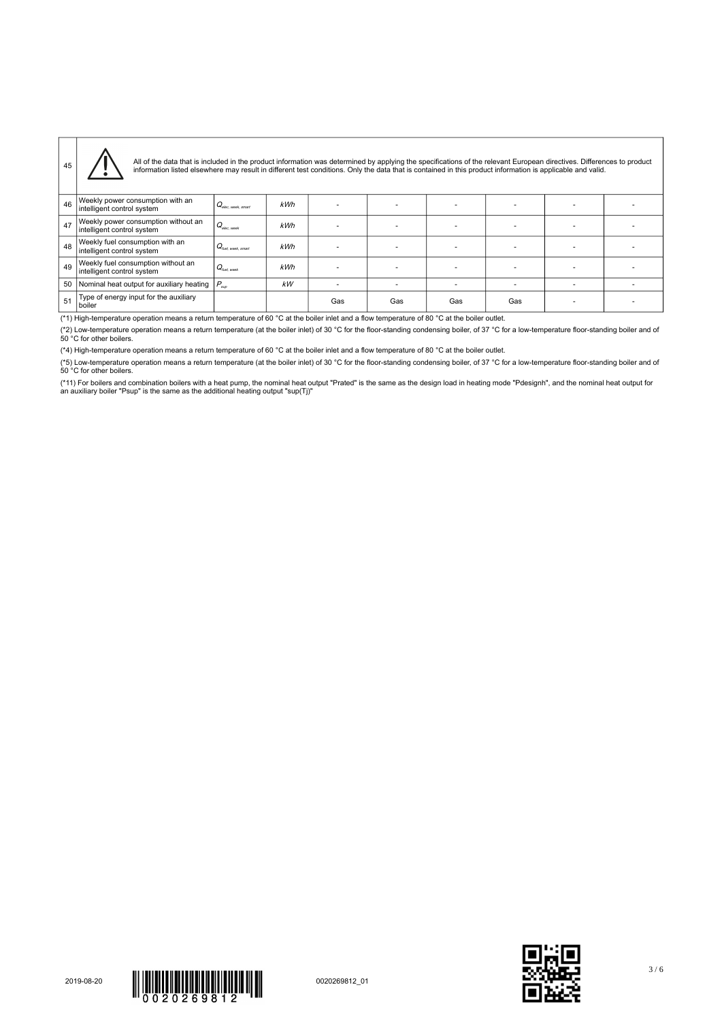| 45 | All of the data that is included in the product information was determined by applying the specifications of the relevant European directives. Differences to product<br>information listed elsewhere may result in different test conditions. Only the data that is contained in this product information is applicable and valid. |                                        |     |     |     |     |     |  |
|----|-------------------------------------------------------------------------------------------------------------------------------------------------------------------------------------------------------------------------------------------------------------------------------------------------------------------------------------|----------------------------------------|-----|-----|-----|-----|-----|--|
| 46 | Weekly power consumption with an<br>intelligent control system                                                                                                                                                                                                                                                                      | $ Q_{\textrm{elec, week, smart}} $     | kWh |     |     |     |     |  |
| 47 | Weekly power consumption without an<br>intelligent control system                                                                                                                                                                                                                                                                   | $Q_{elec, week}$                       | kWh |     |     |     |     |  |
| 48 | Weekly fuel consumption with an<br>intelligent control system                                                                                                                                                                                                                                                                       | $ Q_{\hbox{\tiny fuel, week, smart}} $ | kWh |     |     |     |     |  |
| 49 | Weekly fuel consumption without an<br>intelligent control system                                                                                                                                                                                                                                                                    | $Q_{\text{final work}}$                | kWh |     |     |     |     |  |
| 50 | Nominal heat output for auxiliary heating $ P_{\text{sup}} $                                                                                                                                                                                                                                                                        |                                        | kW  |     |     |     |     |  |
| 51 | Type of energy input for the auxiliary<br>boiler                                                                                                                                                                                                                                                                                    |                                        |     | Gas | Gas | Gas | Gas |  |

(\*1) High-temperature operation means a return temperature of 60 °C at the boiler inlet and a flow temperature of 80 °C at the boiler outlet.

(\*2) Low-temperature operation means a return temperature (at the boiler inlet) of 30 °C for the floor-standing condensing boiler, of 37 °C for a low-temperature floor-standing boiler and of<br>50 °C for other boilers.

(\*4) High-temperature operation means a return temperature of 60 °C at the boiler inlet and a flow temperature of 80 °C at the boiler outlet.

(\*5) Low-temperature operation means a return temperature (at the boiler inlet) of 30 °C for the floor-standing condensing boiler, of 37 °C for a low-temperature floor-standing boiler and of<br>50 °C for other boilers.

(\*11) For boilers and combination boilers with a heat pump, the nominal heat output "Prated" is the same as the design load in heating mode "Pdesignh", and the nominal heat output for<br>an auxiliary boiler "Psup" is the sam





3 / 6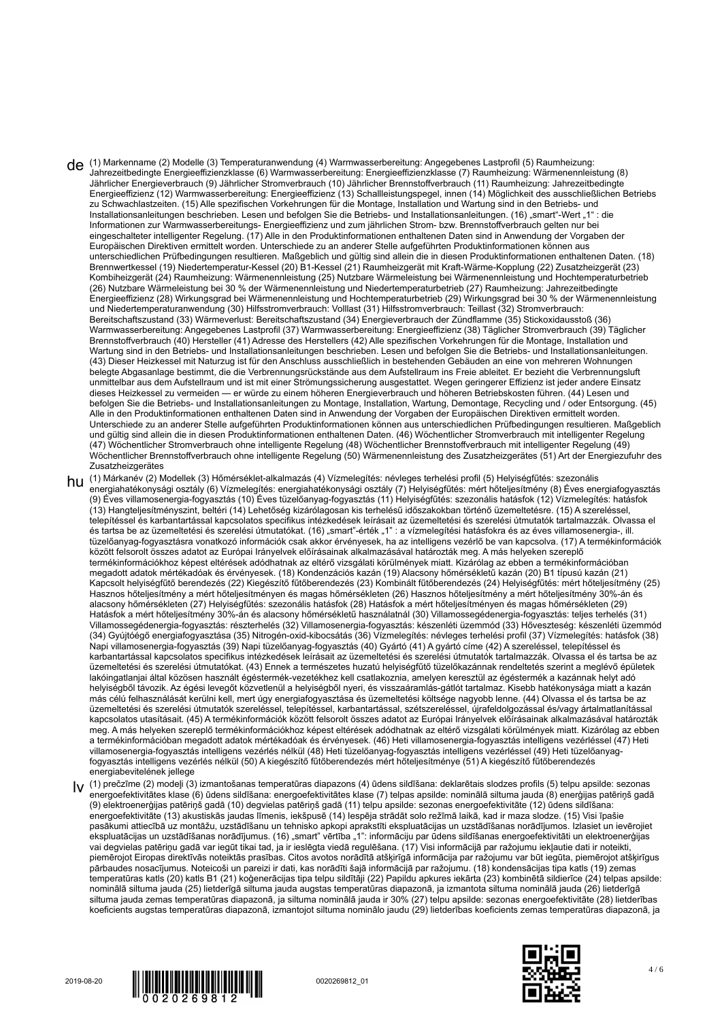- de (1) Markenname (2) Modelle (3) Temperaturanwendung (4) Warmwasserbereitung: Angegebenes Lastprofil (5) Raumheizung: Jahrezeitbedingte Energieeffizienzklasse (6) Warmwasserbereitung: Energieeffizienzklasse (7) Raumheizung: Wärmenennleistung (8) Jährlicher Energieverbrauch (9) Jährlicher Stromverbrauch (10) Jährlicher Brennstoffverbrauch (11) Raumheizung: Jahrezeitbedingte Energieeffizienz (12) Warmwasserbereitung: Energieeffizienz (13) Schallleistungspegel, innen (14) Möglichkeit des ausschließlichen Betriebs zu Schwachlastzeiten. (15) Alle spezifischen Vorkehrungen für die Montage, Installation und Wartung sind in den Betriebs- und Installationsanleitungen beschrieben. Lesen und befolgen Sie die Betriebs- und Installationsanleitungen. (16) "smart"-Wert "1" : die Informationen zur Warmwasserbereitungs- Energieeffizienz und zum jährlichen Strom- bzw. Brennstoffverbrauch gelten nur bei eingeschalteter intelligenter Regelung. (17) Alle in den Produktinformationen enthaltenen Daten sind in Anwendung der Vorgaben der Europäischen Direktiven ermittelt worden. Unterschiede zu an anderer Stelle aufgeführten Produktinformationen können aus unterschiedlichen Prüfbedingungen resultieren. Maßgeblich und gültig sind allein die in diesen Produktinformationen enthaltenen Daten. (18) Brennwertkessel (19) Niedertemperatur-Kessel (20) B1-Kessel (21) Raumheizgerät mit Kraft-Wärme-Kopplung (22) Zusatzheizgerät (23) Kombiheizgerät (24) Raumheizung: Wärmenennleistung (25) Nutzbare Wärmeleistung bei Wärmenennleistung und Hochtemperaturbetrieb (26) Nutzbare Wärmeleistung bei 30 % der Wärmenennleistung und Niedertemperaturbetrieb (27) Raumheizung: Jahrezeitbedingte Energieeffizienz (28) Wirkungsgrad bei Wärmenennleistung und Hochtemperaturbetrieb (29) Wirkungsgrad bei 30 % der Wärmenennleistung und Niedertemperaturanwendung (30) Hilfsstromverbrauch: Volllast (31) Hilfsstromverbrauch: Teillast (32) Stromverbrauch: Bereitschaftszustand (33) Wärmeverlust: Bereitschaftszustand (34) Energieverbrauch der Zündflamme (35) Stickoxidausstoß (36) Warmwasserbereitung: Angegebenes Lastprofil (37) Warmwasserbereitung: Energieeffizienz (38) Täglicher Stromverbrauch (39) Täglicher Brennstoffverbrauch (40) Hersteller (41) Adresse des Herstellers (42) Alle spezifischen Vorkehrungen für die Montage, Installation und Wartung sind in den Betriebs- und Installationsanleitungen beschrieben. Lesen und befolgen Sie die Betriebs- und Installationsanleitungen. (43) Dieser Heizkessel mit Naturzug ist für den Anschluss ausschließlich in bestehenden Gebäuden an eine von mehreren Wohnungen belegte Abgasanlage bestimmt, die die Verbrennungsrückstände aus dem Aufstellraum ins Freie ableitet. Er bezieht die Verbrennungsluft unmittelbar aus dem Aufstellraum und ist mit einer Strömungssicherung ausgestattet. Wegen geringerer Effizienz ist jeder andere Einsatz dieses Heizkessel zu vermeiden — er würde zu einem höheren Energieverbrauch und höheren Betriebskosten führen. (44) Lesen und befolgen Sie die Betriebs- und Installationsanleitungen zu Montage, Installation, Wartung, Demontage, Recycling und / oder Entsorgung. (45) Alle in den Produktinformationen enthaltenen Daten sind in Anwendung der Vorgaben der Europäischen Direktiven ermittelt worden. Unterschiede zu an anderer Stelle aufgeführten Produktinformationen können aus unterschiedlichen Prüfbedingungen resultieren. Maßgeblich und gültig sind allein die in diesen Produktinformationen enthaltenen Daten. (46) Wöchentlicher Stromverbrauch mit intelligenter Regelung (47) Wöchentlicher Stromverbrauch ohne intelligente Regelung (48) Wöchentlicher Brennstoffverbrauch mit intelligenter Regelung (49) Wöchentlicher Brennstoffverbrauch ohne intelligente Regelung (50) Wärmenennleistung des Zusatzheizgerätes (51) Art der Energiezufuhr des Zusatzheizgerätes
- hu (1) Márkanév (2) Modellek (3) Hőmérséklet-alkalmazás (4) Vízmelegítés: névleges terhelési profil (5) Helyiségfűtés: szezonális energiahatékonysági osztály (6) Vízmelegítés: energiahatékonysági osztály (7) Helyiségfűtés: mért hőteljesítmény (8) Éves energiafogyasztás (9) Éves villamosenergia-fogyasztás (10) Éves tüzelőanyag-fogyasztás (11) Helyiségfűtés: szezonális hatásfok (12) Vízmelegítés: hatásfok (13) Hangteljesítményszint, beltéri (14) Lehetőség kizárólagosan kis terhelésű időszakokban történő üzemeltetésre. (15) A szereléssel, telepítéssel és karbantartással kapcsolatos specifikus intézkedések leírásait az üzemeltetési és szerelési útmutatók tartalmazzák. Olvassa el és tartsa be az üzemeltetési és szerelési útmutatókat. (16) "smart"-érték "1" : a vízmelegítési hatásfokra és az éves villamosenergia-, ill. tüzelőanyag-fogyasztásra vonatkozó információk csak akkor érvényesek, ha az intelligens vezérlő be van kapcsolva. (17) A termékinformációk között felsorolt összes adatot az Európai Irányelvek előírásainak alkalmazásával határozták meg. A más helyeken szereplő termékinformációkhoz képest eltérések adódhatnak az eltérő vizsgálati körülmények miatt. Kizárólag az ebben a termékinformációban megadott adatok mértékadóak és érvényesek. (18) Kondenzációs kazán (19) Alacsony hőmérsékletű kazán (20) B1 típusú kazán (21) Kapcsolt helyiségfűtő berendezés (22) Kiegészítő fűtőberendezés (23) Kombinált fűtőberendezés (24) Helyiségfűtés: mért hőteljesítmény (25) Hasznos hőteljesítmény a mért hőteljesítményen és magas hőmérsékleten (26) Hasznos hőteljesítmény a mért hőteljesítmény 30%-án és alacsony hőmérsékleten (27) Helyiségfűtés: szezonális hatásfok (28) Hatásfok a mért hőteljesítményen és magas hőmérsékleten (29) Hatásfok a mért hőteljesítmény 30%-án és alacsony hőmérsékletű használatnál (30) Villamossegédenergia-fogyasztás: teljes terhelés (31) Villamossegédenergia-fogyasztás: részterhelés (32) Villamosenergia-fogyasztás: készenléti üzemmód (33) Hőveszteség: készenléti üzemmód (34) Gyújtóégő energiafogyasztása (35) Nitrogén-oxid-kibocsátás (36) Vízmelegítés: névleges terhelési profil (37) Vízmelegítés: hatásfok (38) Napi villamosenergia-fogyasztás (39) Napi tüzelőanyag-fogyasztás (40) Gyártó (41) A gyártó címe (42) A szereléssel, telepítéssel és karbantartással kapcsolatos specifikus intézkedések leírásait az üzemeltetési és szerelési útmutatók tartalmazzák. Olvassa el és tartsa be az üzemeltetési és szerelési útmutatókat. (43) Ennek a természetes huzatú helyiségfűtő tüzelőkazánnak rendeltetés szerint a meglévő épületek lakóingatlanjai által közösen használt égéstermék-vezetékhez kell csatlakoznia, amelyen keresztül az égéstermék a kazánnak helyt adó helyiségből távozik. Az égési levegőt közvetlenül a helyiségből nyeri, és visszaáramlás-gátlót tartalmaz. Kisebb hatékonysága miatt a kazán más célú felhasználását kerülni kell, mert úgy energiafogyasztása és üzemeltetési költsége nagyobb lenne. (44) Olvassa el és tartsa be az üzemeltetési és szerelési útmutatók szereléssel, telepítéssel, karbantartással, szétszereléssel, újrafeldolgozással és/vagy ártalmatlanítással kapcsolatos utasításait. (45) A termékinformációk között felsorolt összes adatot az Európai Irányelvek előírásainak alkalmazásával határozták meg. A más helyeken szereplő termékinformációkhoz képest eltérések adódhatnak az eltérő vizsgálati körülmények miatt. Kizárólag az ebben a termékinformációban megadott adatok mértékadóak és érvényesek. (46) Heti villamosenergia-fogyasztás intelligens vezérléssel (47) Heti villamosenergia-fogyasztás intelligens vezérlés nélkül (48) Heti tüzelőanyag-fogyasztás intelligens vezérléssel (49) Heti tüzelőanyagfogyasztás intelligens vezérlés nélkül (50) A kiegészítő fűtőberendezés mért hőteljesítménye (51) A kiegészítő fűtőberendezés energiabevitelének jellege
- lv (1) prečzīme (2) modeļi (3) izmantošanas temperatūras diapazons (4) ūdens sildīšana: deklarētais slodzes profils (5) telpu apsilde: sezonas energoefektivitātes klase (6) ūdens sildīšana: energoefektivitātes klase (7) telpas apsilde: nominālā siltuma jauda (8) enerģijas patēriņš gadā (9) elektroenerģijas patēriņš gadā (10) degvielas patēriņš gadā (11) telpu apsilde: sezonas energoefektivitāte (12) ūdens sildīšana: energoefektivitāte (13) akustiskās jaudas līmenis, iekšpusē (14) Iespēja strādāt solo režīmā laikā, kad ir maza slodze. (15) Visi īpašie pasākumi attiecībā uz montāžu, uzstādīšanu un tehnisko apkopi aprakstīti ekspluatācijas un uzstādīšanas norādījumos. Izlasiet un ievērojiet ekspluatācijas un uzstādīšanas norādījumus. (16) "smart" vērtība "1": informāciju par ūdens sildīšanas energoefektivitāti un elektroenerģijas vai degvielas patēriņu gadā var iegūt tikai tad, ja ir ieslēgta viedā regulēšana. (17) Visi informācijā par ražojumu iekļautie dati ir noteikti, piemērojot Eiropas direktīvās noteiktās prasības. Citos avotos norādītā atšķirīgā informācija par ražojumu var būt iegūta, piemērojot atšķirīgus pārbaudes nosacījumus. Noteicoši un pareizi ir dati, kas norādīti šajā informācijā par ražojumu. (18) kondensācijas tipa katls (19) zemas temperatūras katls (20) katls B1 (21) koģenerācijas tipa telpu sildītāji (22) Papildu apkures iekārta (23) kombinētā sildierīce (24) telpas apsilde: nominālā siltuma jauda (25) lietderīgā siltuma jauda augstas temperatūras diapazonā, ja izmantota siltuma nominālā jauda (26) lietderīgā siltuma jauda zemas temperatūras diapazonā, ja siltuma nominālā jauda ir 30% (27) telpu apsilde: sezonas energoefektivitāte (28) lietderības koeficients augstas temperatūras diapazonā, izmantojot siltuma nominālo jaudu (29) lietderības koeficients zemas temperatūras diapazonā, ja





4 / 6

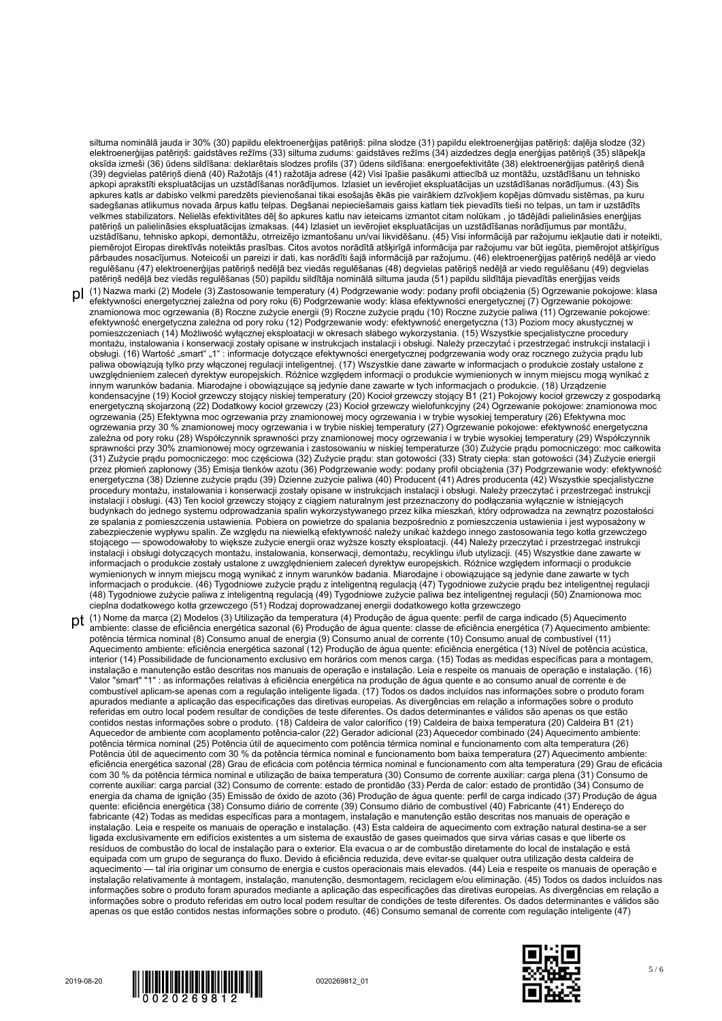siltuma nominālā jauda ir 30% (30) papildu elektroenerģijas patēriņš: pilna slodze (31) papildu elektroenerģijas patēriņš: daļēja slodze (32) elektroenerģijas patēriņš: gaidstāves režīms (33) siltuma zudums: gaidstāves režīms (34) aizdedzes degļa enerģijas patēriņš (35) slāpekļa oksīda izmeši (36) ūdens sildīšana: deklarētais slodzes profils (37) ūdens sildīšana: energoefektivitāte (38) elektroenerģijas patēriņš dienā (39) degvielas patēriņš dienā (40) Ražotājs (41) ražotāja adrese (42) Visi īpašie pasākumi attiecībā uz montāžu, uzstādīšanu un tehnisko apkopi aprakstīti ekspluatācijas un uzstādīšanas norādījumos. Izlasiet un ievērojiet ekspluatācijas un uzstādīšanas norādījumus. (43) Šis apkures katls ar dabisko velkmi paredzēts pievienošanai tikai esošajās ēkās pie vairākiem dzīvokļiem kopējas dūmvadu sistēmas, pa kuru sadegšanas atlikumus novada ārpus katlu telpas. Degšanai nepieciešamais gaiss katlam tiek pievadīts tieši no telpas, un tam ir uzstādīts velkmes stabilizators. Nelielās efektivitātes dēļ šo apkures katlu nav ieteicams izmantot citam nolūkam , jo tādējādi palielināsies enerģijas patēriņš un palielināsies ekspluatācijas izmaksas. (44) Izlasiet un ievērojiet ekspluatācijas un uzstādīšanas norādījumus par montāžu, uzstādīšanu, tehnisko apkopi, demontāžu, otrreizējo izmantošanu un/vai likvidēšanu. (45) Visi informācijā par ražojumu iekļautie dati ir noteikti, piemērojot Eiropas direktīvās noteiktās prasības. Citos avotos norādītā atšķirīgā informācija par ražojumu var būt iegūta, piemērojot atšķirīgus pārbaudes nosacījumus. Noteicoši un pareizi ir dati, kas norādīti šajā informācijā par ražojumu. (46) elektroenerģijas patēriņš nedēļā ar viedo regulēšanu (47) elektroenerģijas patēriņš nedēļā bez viedās regulēšanas (48) degvielas patēriņš nedēļā ar viedo regulēšanu (49) degvielas patēriņš nedēļā bez viedās regulēšanas (50) papildu sildītāja nominālā siltuma jauda (51) papildu sildītāja pievadītās enerģijas veids

- pl (1) Nazwa marki (2) Modele (3) Zastosowanie temperatury (4) Podgrzewanie wody: podany profil obciążenia (5) Ogrzewanie pokojowe: klasa efektywności energetycznej zależna od pory roku (6) Podgrzewanie wody: klasa efektywności energetycznej (7) Ogrzewanie pokojowe: znamionowa moc ogrzewania (8) Roczne zużycie energii (9) Roczne zużycie prądu (10) Roczne zużycie paliwa (11) Ogrzewanie pokojowe: efektywność energetyczna zależna od pory roku (12) Podgrzewanie wody: efektywność energetyczna (13) Poziom mocy akustycznej w pomieszczeniach (14) Możliwość wyłącznej eksploatacji w okresach słabego wykorzystania. (15) Wszystkie specjalistyczne procedury montażu, instalowania i konserwacji zostały opisane w instrukcjach instalacji i obsługi. Należy przeczytać i przestrzegać instrukcji instalacji i obsługi. (16) Wartość "smart" "1" : informacje dotyczące efektywności energetycznej podgrzewania wody oraz rocznego zużycia prądu lub paliwa obowiązują tylko przy włączonej regulacji inteligentnej. (17) Wszystkie dane zawarte w informacjach o produkcie zostały ustalone z uwzględnieniem zaleceń dyrektyw europejskich. Różnice względem informacji o produkcie wymienionych w innym miejscu mogą wynikać z innym warunków badania. Miarodajne i obowiązujące są jedynie dane zawarte w tych informacjach o produkcie. (18) Urządzenie kondensacyjne (19) Kocioł grzewczy stojący niskiej temperatury (20) Kocioł grzewczy stojący B1 (21) Pokojowy kocioł grzewczy z gospodarką energetyczną skojarzoną (22) Dodatkowy kocioł grzewczy (23) Kocioł grzewczy wielofunkcyjny (24) Ogrzewanie pokojowe: znamionowa moc ogrzewania (25) Efektywna moc ogrzewania przy znamionowej mocy ogrzewania i w trybie wysokiej temperatury (26) Efektywna moc ogrzewania przy 30 % znamionowej mocy ogrzewania i w trybie niskiej temperatury (27) Ogrzewanie pokojowe: efektywność energetyczna zależna od pory roku (28) Współczynnik sprawności przy znamionowej mocy ogrzewania i w trybie wysokiej temperatury (29) Współczynnik sprawności przy 30% znamionowej mocy ogrzewania i zastosowaniu w niskiej temperaturze (30) Zużycie prądu pomocniczego: moc całkowita (31) Zużycie prądu pomocniczego: moc częściowa (32) Zużycie prądu: stan gotowości (33) Straty ciepła: stan gotowości (34) Zużycie energii przez płomień zapłonowy (35) Emisja tlenków azotu (36) Podgrzewanie wody: podany profil obciążenia (37) Podgrzewanie wody: efektywność energetyczna (38) Dzienne zużycie prądu (39) Dzienne zużycie paliwa (40) Producent (41) Adres producenta (42) Wszystkie specjalistyczne procedury montażu, instalowania i konserwacji zostały opisane w instrukcjach instalacji i obsługi. Należy przeczytać i przestrzegać instrukcji instalacji i obsługi. (43) Ten kocioł grzewczy stojący z ciągiem naturalnym jest przeznaczony do podłączania wyłącznie w istniejących budynkach do jednego systemu odprowadzania spalin wykorzystywanego przez kilka mieszkań, który odprowadza na zewnątrz pozostałości ze spalania z pomieszczenia ustawienia. Pobiera on powietrze do spalania bezpośrednio z pomieszczenia ustawienia i jest wyposażony w zabezpieczenie wypływu spalin. Ze względu na niewielką efektywność należy unikać każdego innego zastosowania tego kotła grzewczego stojącego — spowodowałoby to większe zużycie energii oraz wyższe koszty eksploatacji. (44) Należy przeczytać i przestrzegać instrukcji instalacji i obsługi dotyczących montażu, instalowania, konserwacji, demontażu, recyklingu i/lub utylizacji. (45) Wszystkie dane zawarte w informacjach o produkcie zostały ustalone z uwzględnieniem zaleceń dyrektyw europejskich. Różnice względem informacji o produkcie wymienionych w innym miejscu mogą wynikać z innym warunków badania. Miarodajne i obowiązujące są jedynie dane zawarte w tych informacjach o produkcie. (46) Tygodniowe zużycie prądu z inteligentną regulacją (47) Tygodniowe zużycie prądu bez inteligentnej regulacji (48) Tygodniowe zużycie paliwa z inteligentną regulacją (49) Tygodniowe zużycie paliwa bez inteligentnej regulacji (50) Znamionowa moc cieplna dodatkowego kotła grzewczego (51) Rodzaj doprowadzanej energii dodatkowego kotła grzewczego
- pt (1) Nome da marca (2) Modelos (3) Utilização da temperatura (4) Produção de água quente: perfil de carga indicado (5) Aquecimento ambiente: classe de eficiência energética sazonal (6) Produção de água quente: classe de eficiência energética (7) Aquecimento ambiente: potência térmica nominal (8) Consumo anual de energia (9) Consumo anual de corrente (10) Consumo anual de combustível (11) Aquecimento ambiente: eficiência energética sazonal (12) Produção de água quente: eficiência energética (13) Nível de potência acústica, interior (14) Possibilidade de funcionamento exclusivo em horários com menos carga. (15) Todas as medidas específicas para a montagem, instalação e manutenção estão descritas nos manuais de operação e instalação. Leia e respeite os manuais de operação e instalação. (16) Valor "smart" "1" : as informações relativas à eficiência energética na produção de água quente e ao consumo anual de corrente e de combustível aplicam-se apenas com a regulação inteligente ligada. (17) Todos os dados incluídos nas informações sobre o produto foram apurados mediante a aplicação das especificações das diretivas europeias. As divergências em relação a informações sobre o produto referidas em outro local podem resultar de condições de teste diferentes. Os dados determinantes e válidos são apenas os que estão contidos nestas informações sobre o produto. (18) Caldeira de valor calorífico (19) Caldeira de baixa temperatura (20) Caldeira B1 (21) Aquecedor de ambiente com acoplamento potência-calor (22) Gerador adicional (23) Aquecedor combinado (24) Aquecimento ambiente: potência térmica nominal (25) Potência útil de aquecimento com potência térmica nominal e funcionamento com alta temperatura (26) Potência útil de aquecimento com 30 % da potência térmica nominal e funcionamento bom baixa temperatura (27) Aquecimento ambiente: eficiência energética sazonal (28) Grau de eficácia com potência térmica nominal e funcionamento com alta temperatura (29) Grau de eficácia com 30 % da potência térmica nominal e utilização de baixa temperatura (30) Consumo de corrente auxiliar: carga plena (31) Consumo de corrente auxiliar: carga parcial (32) Consumo de corrente: estado de prontidão (33) Perda de calor: estado de prontidão (34) Consumo de energia da chama de ignição (35) Emissão de óxido de azoto (36) Produção de água quente: perfil de carga indicado (37) Produção de água quente: eficiência energética (38) Consumo diário de corrente (39) Consumo diário de combustível (40) Fabricante (41) Endereço do fabricante (42) Todas as medidas específicas para a montagem, instalação e manutenção estão descritas nos manuais de operação e instalação. Leia e respeite os manuais de operação e instalação. (43) Esta caldeira de aquecimento com extração natural destina-se a ser ligada exclusivamente em edifícios existentes a um sistema de exaustão de gases queimados que sirva várias casas e que liberte os resíduos de combustão do local de instalação para o exterior. Ela evacua o ar de combustão diretamente do local de instalação e está equipada com um grupo de segurança do fluxo. Devido à eficiência reduzida, deve evitar-se qualquer outra utilização desta caldeira de aquecimento — tal iria originar um consumo de energia e custos operacionais mais elevados. (44) Leia e respeite os manuais de operação e instalação relativamente à montagem, instalação, manutenção, desmontagem, reciclagem e/ou eliminação. (45) Todos os dados incluídos nas informações sobre o produto foram apurados mediante a aplicação das especificações das diretivas europeias. As divergências em relação a informações sobre o produto referidas em outro local podem resultar de condições de teste diferentes. Os dados determinantes e válidos são apenas os que estão contidos nestas informações sobre o produto. (46) Consumo semanal de corrente com regulação inteligente (47)





5 / 6